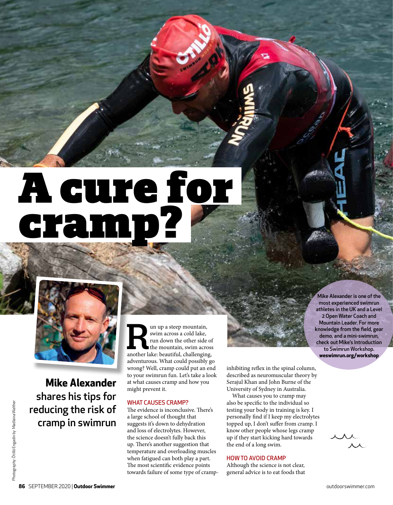# A cure for cramp?



**Mike Alexander** shares his tips for reducing the risk of cramp in swimrun and up a steep mountain, swim across a cold lake, run down the other side of the mountain, swim across another lake: beautiful, challenging, swim across a cold lake, run down the other side of the mountain, swim across adventurous. What could possibly go wrong? Well, cramp could put an end to your swimrun fun. Let's take a look at what causes cramp and how you might prevent it.

# WHAT CAUSES CRAMP?

The evidence is inconclusive. There's a large school of thought that suggests it's down to dehydration and loss of electrolytes. However, the science doesn't fully back this up. There's another suggestion that temperature and overloading muscles when fatigued can both play a part. The most scientific evidence points towards failure of some type of crampinhibiting reflex in the spinal column, described as neuromuscular theory by Serajul Khan and John Burne of the University of Sydney in Australia.

What causes you to cramp may also be specific to the individual so testing your body in training is key. I personally find if I keep my electrolytes topped up, I don't suffer from cramp. I know other people whose legs cramp up if they start kicking hard towards the end of a long swim.

# HOW TO AVOID CRAMP

Although the science is not clear, general advice is to eat foods that

Mike Alexander is one of the most experienced swimrun athletes in the UK and a Level 2 Open Water Coach and Mountain Leader. For more knowledge from the field, gear demo, and a mini-swimrun, check out Mike's Introduction to Swimrun Workshop. **weswimrun.org/workshop**